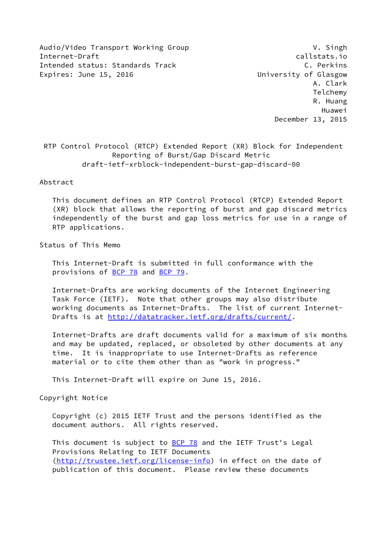Audio/Video Transport Working Group V. Singh Internet-Draft callstats.io Intended status: Standards Track C. Perkins Expires: June 15, 2016 **Expires:** University of Glasgow

 A. Clark Telchemy R. Huang Huawei December 13, 2015

 RTP Control Protocol (RTCP) Extended Report (XR) Block for Independent Reporting of Burst/Gap Discard Metric draft-ietf-xrblock-independent-burst-gap-discard-00

#### Abstract

 This document defines an RTP Control Protocol (RTCP) Extended Report (XR) block that allows the reporting of burst and gap discard metrics independently of the burst and gap loss metrics for use in a range of RTP applications.

Status of This Memo

 This Internet-Draft is submitted in full conformance with the provisions of [BCP 78](https://datatracker.ietf.org/doc/pdf/bcp78) and [BCP 79](https://datatracker.ietf.org/doc/pdf/bcp79).

 Internet-Drafts are working documents of the Internet Engineering Task Force (IETF). Note that other groups may also distribute working documents as Internet-Drafts. The list of current Internet- Drafts is at<http://datatracker.ietf.org/drafts/current/>.

 Internet-Drafts are draft documents valid for a maximum of six months and may be updated, replaced, or obsoleted by other documents at any time. It is inappropriate to use Internet-Drafts as reference material or to cite them other than as "work in progress."

This Internet-Draft will expire on June 15, 2016.

Copyright Notice

 Copyright (c) 2015 IETF Trust and the persons identified as the document authors. All rights reserved.

This document is subject to **[BCP 78](https://datatracker.ietf.org/doc/pdf/bcp78)** and the IETF Trust's Legal Provisions Relating to IETF Documents [\(http://trustee.ietf.org/license-info](http://trustee.ietf.org/license-info)) in effect on the date of publication of this document. Please review these documents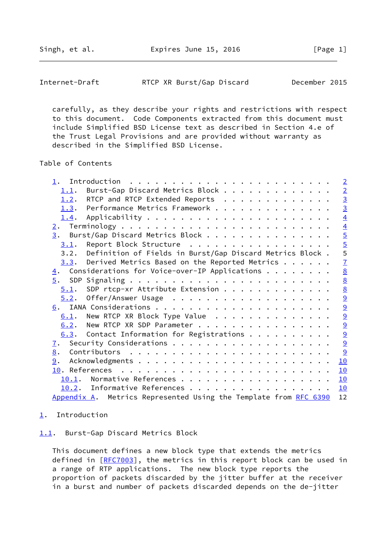<span id="page-1-1"></span>

 carefully, as they describe your rights and restrictions with respect to this document. Code Components extracted from this document must include Simplified BSD License text as described in Section 4.e of the Trust Legal Provisions and are provided without warranty as described in the Simplified BSD License.

Table of Contents

|                                                                  | $\overline{2}$  |
|------------------------------------------------------------------|-----------------|
| Burst-Gap Discard Metrics Block<br>1.1.                          | $\overline{2}$  |
| RTCP and RTCP Extended Reports<br>1.2.                           | $\frac{3}{3}$   |
| 1.3. Performance Metrics Framework                               |                 |
| 1.4.                                                             | $\overline{4}$  |
| 2.                                                               | $\overline{4}$  |
| 3. Burst/Gap Discard Metrics Block                               |                 |
| Report Block Structure<br>3.1.                                   |                 |
| 3.2. Definition of Fields in Burst/Gap Discard Metrics Block.    | $\frac{5}{5}$   |
| $3.3$ . Derived Metrics Based on the Reported Metrics            | $\overline{1}$  |
| $\underline{4}$ . Considerations for Voice-over-IP Applications  | $\underline{8}$ |
|                                                                  | $\underline{8}$ |
| SDP rtcp-xr Attribute Extension<br>5.1.                          | $\underline{8}$ |
| 5.2.                                                             | $\overline{9}$  |
|                                                                  |                 |
| New RTCP XR Block Type Value<br>6.1.                             | $\frac{9}{9}$   |
| 6.2. New RTCP XR SDP Parameter                                   |                 |
| $6.3$ . Contact Information for Registrations                    | $\frac{9}{9}$   |
| 7.                                                               | $\overline{a}$  |
| 8.                                                               | 9               |
| 9.                                                               | 10              |
|                                                                  | 10              |
| Normative References<br>10.1.                                    | 10              |
| 10.2. Informative References                                     | 10              |
| Appendix A. Metrics Represented Using the Template from RFC 6390 | 12              |
|                                                                  |                 |

# <span id="page-1-0"></span>[1](#page-1-0). Introduction

<span id="page-1-2"></span>[1.1](#page-1-2). Burst-Gap Discard Metrics Block

 This document defines a new block type that extends the metrics defined in [[RFC7003\]](https://datatracker.ietf.org/doc/pdf/rfc7003), the metrics in this report block can be used in a range of RTP applications. The new block type reports the proportion of packets discarded by the jitter buffer at the receiver in a burst and number of packets discarded depends on the de-jitter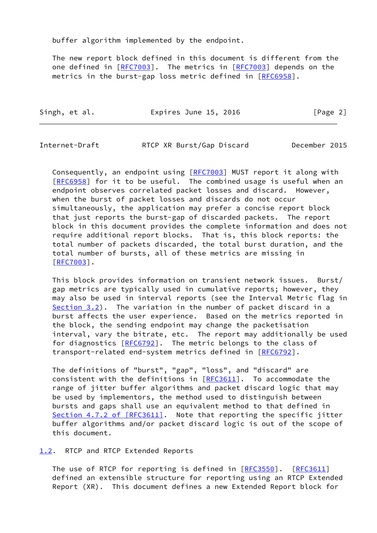buffer algorithm implemented by the endpoint.

 The new report block defined in this document is different from the one defined in [\[RFC7003](https://datatracker.ietf.org/doc/pdf/rfc7003)]. The metrics in [[RFC7003](https://datatracker.ietf.org/doc/pdf/rfc7003)] depends on the metrics in the burst-gap loss metric defined in [\[RFC6958](https://datatracker.ietf.org/doc/pdf/rfc6958)].

| Singh, et al. | Expires June 15, 2016 | [Page 2] |
|---------------|-----------------------|----------|
|---------------|-----------------------|----------|

<span id="page-2-1"></span>Internet-Draft RTCP XR Burst/Gap Discard December 2015

Consequently, an endpoint using [\[RFC7003](https://datatracker.ietf.org/doc/pdf/rfc7003)] MUST report it along with [\[RFC6958](https://datatracker.ietf.org/doc/pdf/rfc6958)] for it to be useful. The combined usage is useful when an endpoint observes correlated packet losses and discard. However, when the burst of packet losses and discards do not occur simultaneously, the application may prefer a concise report block that just reports the burst-gap of discarded packets. The report block in this document provides the complete information and does not require additional report blocks. That is, this block reports: the total number of packets discarded, the total burst duration, and the total number of bursts, all of these metrics are missing in [\[RFC7003](https://datatracker.ietf.org/doc/pdf/rfc7003)].

 This block provides information on transient network issues. Burst/ gap metrics are typically used in cumulative reports; however, they may also be used in interval reports (see the Interval Metric flag in [Section 3.2](#page-5-0)). The variation in the number of packet discard in a burst affects the user experience. Based on the metrics reported in the block, the sending endpoint may change the packetisation interval, vary the bitrate, etc. The report may additionally be used for diagnostics [\[RFC6792](https://datatracker.ietf.org/doc/pdf/rfc6792)]. The metric belongs to the class of transport-related end-system metrics defined in [\[RFC6792](https://datatracker.ietf.org/doc/pdf/rfc6792)].

 The definitions of "burst", "gap", "loss", and "discard" are consistent with the definitions in [[RFC3611\]](https://datatracker.ietf.org/doc/pdf/rfc3611). To accommodate the range of jitter buffer algorithms and packet discard logic that may be used by implementors, the method used to distinguish between bursts and gaps shall use an equivalent method to that defined in Section [4.7.2 of \[RFC3611\]](https://datatracker.ietf.org/doc/pdf/rfc3611#section-4.7.2). Note that reporting the specific jitter buffer algorithms and/or packet discard logic is out of the scope of this document.

<span id="page-2-0"></span>[1.2](#page-2-0). RTCP and RTCP Extended Reports

 The use of RTCP for reporting is defined in [\[RFC3550](https://datatracker.ietf.org/doc/pdf/rfc3550)]. [\[RFC3611](https://datatracker.ietf.org/doc/pdf/rfc3611)] defined an extensible structure for reporting using an RTCP Extended Report (XR). This document defines a new Extended Report block for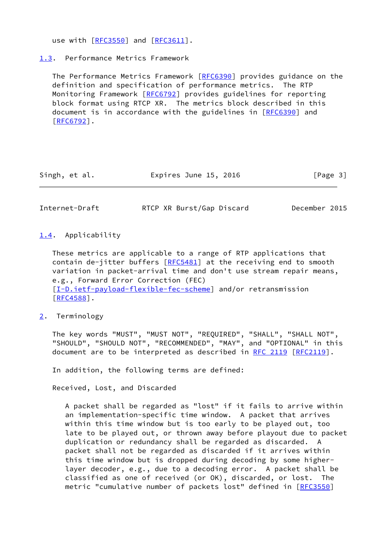use with [\[RFC3550](https://datatracker.ietf.org/doc/pdf/rfc3550)] and [\[RFC3611](https://datatracker.ietf.org/doc/pdf/rfc3611)].

<span id="page-3-0"></span>[1.3](#page-3-0). Performance Metrics Framework

 The Performance Metrics Framework [[RFC6390](https://datatracker.ietf.org/doc/pdf/rfc6390)] provides guidance on the definition and specification of performance metrics. The RTP Monitoring Framework [\[RFC6792](https://datatracker.ietf.org/doc/pdf/rfc6792)] provides guidelines for reporting block format using RTCP XR. The metrics block described in this document is in accordance with the guidelines in [\[RFC6390](https://datatracker.ietf.org/doc/pdf/rfc6390)] and [\[RFC6792](https://datatracker.ietf.org/doc/pdf/rfc6792)].

| Singh, et al. | Expires June 15, 2016 | [Page 3] |
|---------------|-----------------------|----------|
|---------------|-----------------------|----------|

<span id="page-3-2"></span>Internet-Draft RTCP XR Burst/Gap Discard December 2015

### <span id="page-3-1"></span>[1.4](#page-3-1). Applicability

 These metrics are applicable to a range of RTP applications that contain de-jitter buffers  $[REC5481]$  at the receiving end to smooth variation in packet-arrival time and don't use stream repair means, e.g., Forward Error Correction (FEC) [\[I-D.ietf-payload-flexible-fec-scheme](#page-10-5)] and/or retransmission [\[RFC4588](https://datatracker.ietf.org/doc/pdf/rfc4588)].

<span id="page-3-3"></span>[2](#page-3-3). Terminology

 The key words "MUST", "MUST NOT", "REQUIRED", "SHALL", "SHALL NOT", "SHOULD", "SHOULD NOT", "RECOMMENDED", "MAY", and "OPTIONAL" in this document are to be interpreted as described in [RFC 2119 \[RFC2119](https://datatracker.ietf.org/doc/pdf/rfc2119)].

In addition, the following terms are defined:

Received, Lost, and Discarded

 A packet shall be regarded as "lost" if it fails to arrive within an implementation-specific time window. A packet that arrives within this time window but is too early to be played out, too late to be played out, or thrown away before playout due to packet duplication or redundancy shall be regarded as discarded. A packet shall not be regarded as discarded if it arrives within this time window but is dropped during decoding by some higher layer decoder, e.g., due to a decoding error. A packet shall be classified as one of received (or OK), discarded, or lost. metric "cumulative number of packets lost" defined in [\[RFC3550](https://datatracker.ietf.org/doc/pdf/rfc3550)]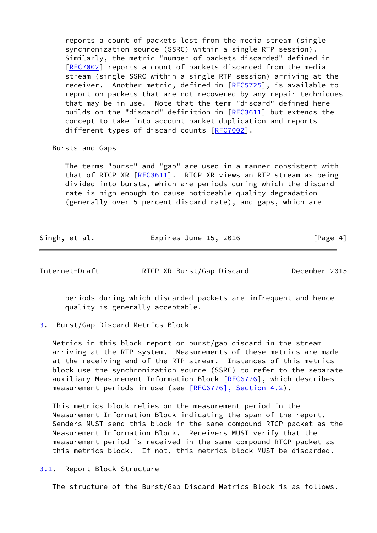reports a count of packets lost from the media stream (single synchronization source (SSRC) within a single RTP session). Similarly, the metric "number of packets discarded" defined in [[RFC7002\]](https://datatracker.ietf.org/doc/pdf/rfc7002) reports a count of packets discarded from the media stream (single SSRC within a single RTP session) arriving at the receiver. Another metric, defined in [\[RFC5725](https://datatracker.ietf.org/doc/pdf/rfc5725)], is available to report on packets that are not recovered by any repair techniques that may be in use. Note that the term "discard" defined here builds on the "discard" definition in [\[RFC3611](https://datatracker.ietf.org/doc/pdf/rfc3611)] but extends the concept to take into account packet duplication and reports different types of discard counts [\[RFC7002](https://datatracker.ietf.org/doc/pdf/rfc7002)].

Bursts and Gaps

 The terms "burst" and "gap" are used in a manner consistent with that of RTCP XR [[RFC3611\]](https://datatracker.ietf.org/doc/pdf/rfc3611). RTCP XR views an RTP stream as being divided into bursts, which are periods during which the discard rate is high enough to cause noticeable quality degradation (generally over 5 percent discard rate), and gaps, which are

| Singh, et al. | Expires June 15, 2016 | [Page 4] |
|---------------|-----------------------|----------|
|---------------|-----------------------|----------|

<span id="page-4-1"></span>Internet-Draft RTCP XR Burst/Gap Discard December 2015

 periods during which discarded packets are infrequent and hence quality is generally acceptable.

<span id="page-4-0"></span>[3](#page-4-0). Burst/Gap Discard Metrics Block

 Metrics in this block report on burst/gap discard in the stream arriving at the RTP system. Measurements of these metrics are made at the receiving end of the RTP stream. Instances of this metrics block use the synchronization source (SSRC) to refer to the separate auxiliary Measurement Information Block [\[RFC6776](https://datatracker.ietf.org/doc/pdf/rfc6776)], which describes measurement periods in use (see [\[RFC6776\], Section](https://datatracker.ietf.org/doc/pdf/rfc6776#section-4.2) 4.2).

 This metrics block relies on the measurement period in the Measurement Information Block indicating the span of the report. Senders MUST send this block in the same compound RTCP packet as the Measurement Information Block. Receivers MUST verify that the measurement period is received in the same compound RTCP packet as this metrics block. If not, this metrics block MUST be discarded.

<span id="page-4-2"></span>[3.1](#page-4-2). Report Block Structure

The structure of the Burst/Gap Discard Metrics Block is as follows.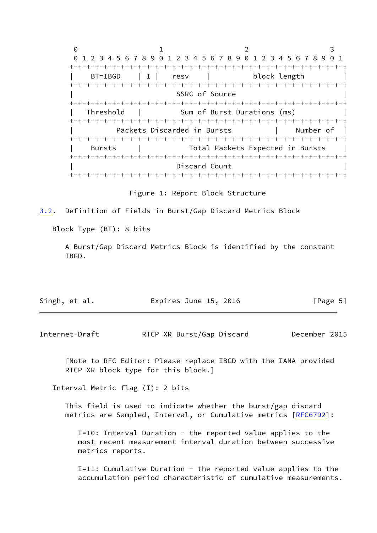$0$  1 2 3 0 1 2 3 4 5 6 7 8 9 0 1 2 3 4 5 6 7 8 9 0 1 2 3 4 5 6 7 8 9 0 1 +-+-+-+-+-+-+-+-+-+-+-+-+-+-+-+-+-+-+-+-+-+-+-+-+-+-+-+-+-+-+-+-+ BT=IBGD | I | resv | block length +-+-+-+-+-+-+-+-+-+-+-+-+-+-+-+-+-+-+-+-+-+-+-+-+-+-+-+-+-+-+-+-+ SSRC of Source +-+-+-+-+-+-+-+-+-+-+-+-+-+-+-+-+-+-+-+-+-+-+-+-+-+-+-+-+-+-+-+-+ Threshold | Sum of Burst Durations (ms) +-+-+-+-+-+-+-+-+-+-+-+-+-+-+-+-+-+-+-+-+-+-+-+-+-+-+-+-+-+-+-+-+ Packets Discarded in Bursts | Number of | +-+-+-+-+-+-+-+-+-+-+-+-+-+-+-+-+-+-+-+-+-+-+-+-+-+-+-+-+-+-+-+-+ | Bursts | Total Packets Expected in Bursts | +-+-+-+-+-+-+-+-+-+-+-+-+-+-+-+-+-+-+-+-+-+-+-+-+-+-+-+-+-+-+-+-+ Discard Count +-+-+-+-+-+-+-+-+-+-+-+-+-+-+-+-+-+-+-+-+-+-+-+-+-+-+-+-+-+-+-+-+

Figure 1: Report Block Structure

<span id="page-5-0"></span>[3.2](#page-5-0). Definition of Fields in Burst/Gap Discard Metrics Block

Block Type (BT): 8 bits

 A Burst/Gap Discard Metrics Block is identified by the constant IBGD.

| Singh, et al. | Expires June 15, 2016 | [Page 5] |
|---------------|-----------------------|----------|
|               |                       |          |

Internet-Draft RTCP XR Burst/Gap Discard December 2015

 [Note to RFC Editor: Please replace IBGD with the IANA provided RTCP XR block type for this block.]

Interval Metric flag (I): 2 bits

 This field is used to indicate whether the burst/gap discard metrics are Sampled, Interval, or Cumulative metrics [\[RFC6792](https://datatracker.ietf.org/doc/pdf/rfc6792)]:

 I=10: Interval Duration - the reported value applies to the most recent measurement interval duration between successive metrics reports.

 I=11: Cumulative Duration - the reported value applies to the accumulation period characteristic of cumulative measurements.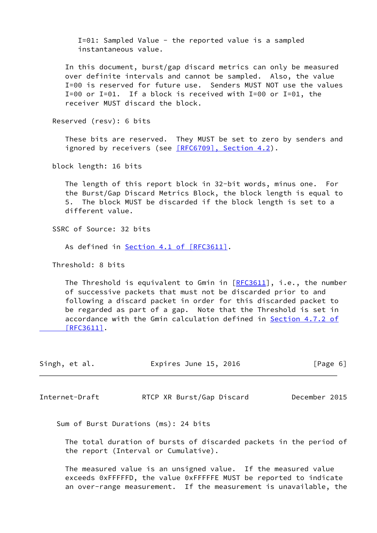I=01: Sampled Value - the reported value is a sampled instantaneous value.

 In this document, burst/gap discard metrics can only be measured over definite intervals and cannot be sampled. Also, the value I=00 is reserved for future use. Senders MUST NOT use the values  $I=00$  or  $I=01$ . If a block is received with  $I=00$  or  $I=01$ , the receiver MUST discard the block.

Reserved (resv): 6 bits

 These bits are reserved. They MUST be set to zero by senders and ignored by receivers (see [\[RFC6709\], Section](https://datatracker.ietf.org/doc/pdf/rfc6709#section-4.2) 4.2).

block length: 16 bits

 The length of this report block in 32-bit words, minus one. For the Burst/Gap Discard Metrics Block, the block length is equal to 5. The block MUST be discarded if the block length is set to a different value.

SSRC of Source: 32 bits

As defined in Section [4.1 of \[RFC3611\]](https://datatracker.ietf.org/doc/pdf/rfc3611#section-4.1).

Threshold: 8 bits

The Threshold is equivalent to Gmin in  $[REC3611]$ , i.e., the number of successive packets that must not be discarded prior to and following a discard packet in order for this discarded packet to be regarded as part of a gap. Note that the Threshold is set in accordance with the Gmin calculation defined in Section [4.7.2 of](https://datatracker.ietf.org/doc/pdf/rfc3611#section-4.7.2)  [\[RFC3611\]](https://datatracker.ietf.org/doc/pdf/rfc3611#section-4.7.2).

| Expires June 15, 2016<br>Singh, et al. | [Page 6] |
|----------------------------------------|----------|
|----------------------------------------|----------|

<span id="page-6-0"></span>Internet-Draft RTCP XR Burst/Gap Discard December 2015

Sum of Burst Durations (ms): 24 bits

 The total duration of bursts of discarded packets in the period of the report (Interval or Cumulative).

 The measured value is an unsigned value. If the measured value exceeds 0xFFFFFD, the value 0xFFFFFE MUST be reported to indicate an over-range measurement. If the measurement is unavailable, the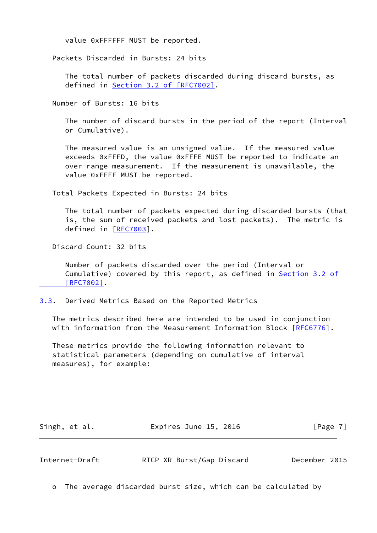value 0xFFFFFF MUST be reported.

Packets Discarded in Bursts: 24 bits

 The total number of packets discarded during discard bursts, as defined in Section [3.2 of \[RFC7002\]](https://datatracker.ietf.org/doc/pdf/rfc7002#section-3.2).

Number of Bursts: 16 bits

 The number of discard bursts in the period of the report (Interval or Cumulative).

 The measured value is an unsigned value. If the measured value exceeds 0xFFFD, the value 0xFFFE MUST be reported to indicate an over-range measurement. If the measurement is unavailable, the value 0xFFFF MUST be reported.

Total Packets Expected in Bursts: 24 bits

 The total number of packets expected during discarded bursts (that is, the sum of received packets and lost packets). The metric is defined in [[RFC7003](https://datatracker.ietf.org/doc/pdf/rfc7003)].

Discard Count: 32 bits

 Number of packets discarded over the period (Interval or Cumulative) covered by this report, as defined in [Section](https://datatracker.ietf.org/doc/pdf/rfc7002#section-3.2) 3.2 of  [\[RFC7002\]](https://datatracker.ietf.org/doc/pdf/rfc7002#section-3.2).

<span id="page-7-0"></span>[3.3](#page-7-0). Derived Metrics Based on the Reported Metrics

 The metrics described here are intended to be used in conjunction with information from the Measurement Information Block [\[RFC6776](https://datatracker.ietf.org/doc/pdf/rfc6776)].

 These metrics provide the following information relevant to statistical parameters (depending on cumulative of interval measures), for example:

Singh, et al. **Expires June 15, 2016** [Page 7]

<span id="page-7-1"></span>Internet-Draft RTCP XR Burst/Gap Discard December 2015

o The average discarded burst size, which can be calculated by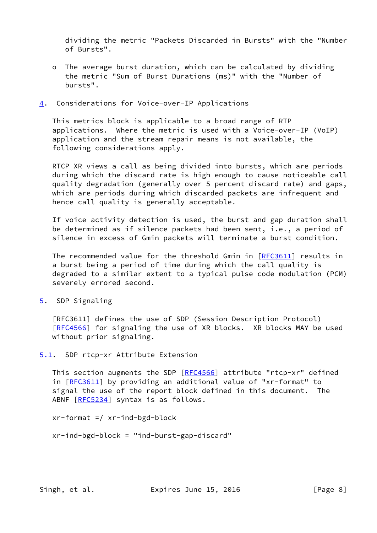dividing the metric "Packets Discarded in Bursts" with the "Number of Bursts".

 o The average burst duration, which can be calculated by dividing the metric "Sum of Burst Durations (ms)" with the "Number of bursts".

### <span id="page-8-0"></span>[4](#page-8-0). Considerations for Voice-over-IP Applications

 This metrics block is applicable to a broad range of RTP applications. Where the metric is used with a Voice-over-IP (VoIP) application and the stream repair means is not available, the following considerations apply.

 RTCP XR views a call as being divided into bursts, which are periods during which the discard rate is high enough to cause noticeable call quality degradation (generally over 5 percent discard rate) and gaps, which are periods during which discarded packets are infrequent and hence call quality is generally acceptable.

 If voice activity detection is used, the burst and gap duration shall be determined as if silence packets had been sent, i.e., a period of silence in excess of Gmin packets will terminate a burst condition.

The recommended value for the threshold Gmin in [\[RFC3611](https://datatracker.ietf.org/doc/pdf/rfc3611)] results in a burst being a period of time during which the call quality is degraded to a similar extent to a typical pulse code modulation (PCM) severely errored second.

<span id="page-8-1"></span>[5](#page-8-1). SDP Signaling

 [RFC3611] defines the use of SDP (Session Description Protocol) [\[RFC4566](https://datatracker.ietf.org/doc/pdf/rfc4566)] for signaling the use of XR blocks. XR blocks MAY be used without prior signaling.

# <span id="page-8-2"></span>[5.1](#page-8-2). SDP rtcp-xr Attribute Extension

This section augments the SDP [[RFC4566](https://datatracker.ietf.org/doc/pdf/rfc4566)] attribute "rtcp-xr" defined in [[RFC3611\]](https://datatracker.ietf.org/doc/pdf/rfc3611) by providing an additional value of "xr-format" to signal the use of the report block defined in this document. The ABNF [\[RFC5234](https://datatracker.ietf.org/doc/pdf/rfc5234)] syntax is as follows.

xr-format =/ xr-ind-bgd-block

xr-ind-bgd-block = "ind-burst-gap-discard"

Singh, et al. Expires June 15, 2016 [Page 8]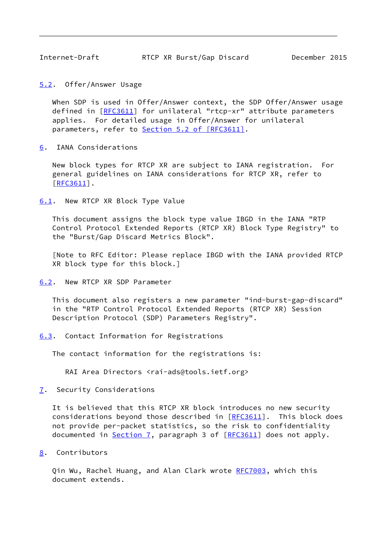<span id="page-9-1"></span><span id="page-9-0"></span>[5.2](#page-9-0). Offer/Answer Usage

 When SDP is used in Offer/Answer context, the SDP Offer/Answer usage defined in [[RFC3611\]](https://datatracker.ietf.org/doc/pdf/rfc3611) for unilateral "rtcp-xr" attribute parameters applies. For detailed usage in Offer/Answer for unilateral parameters, refer to Section [5.2 of \[RFC3611\]](https://datatracker.ietf.org/doc/pdf/rfc3611#section-5.2).

<span id="page-9-2"></span>[6](#page-9-2). IANA Considerations

 New block types for RTCP XR are subject to IANA registration. For general guidelines on IANA considerations for RTCP XR, refer to [\[RFC3611](https://datatracker.ietf.org/doc/pdf/rfc3611)].

<span id="page-9-3"></span>[6.1](#page-9-3). New RTCP XR Block Type Value

 This document assigns the block type value IBGD in the IANA "RTP Control Protocol Extended Reports (RTCP XR) Block Type Registry" to the "Burst/Gap Discard Metrics Block".

 [Note to RFC Editor: Please replace IBGD with the IANA provided RTCP XR block type for this block.]

<span id="page-9-4"></span>[6.2](#page-9-4). New RTCP XR SDP Parameter

 This document also registers a new parameter "ind-burst-gap-discard" in the "RTP Control Protocol Extended Reports (RTCP XR) Session Description Protocol (SDP) Parameters Registry".

<span id="page-9-5"></span>[6.3](#page-9-5). Contact Information for Registrations

The contact information for the registrations is:

RAI Area Directors <rai-ads@tools.ietf.org>

<span id="page-9-6"></span>[7](#page-9-6). Security Considerations

 It is believed that this RTCP XR block introduces no new security considerations beyond those described in [\[RFC3611](https://datatracker.ietf.org/doc/pdf/rfc3611)]. This block does not provide per-packet statistics, so the risk to confidentiality documented in [Section 7,](#page-9-6) paragraph 3 of [\[RFC3611](https://datatracker.ietf.org/doc/pdf/rfc3611)] does not apply.

<span id="page-9-7"></span>[8](#page-9-7). Contributors

Qin Wu, Rachel Huang, and Alan Clark wrote [RFC7003](https://datatracker.ietf.org/doc/pdf/rfc7003), which this document extends.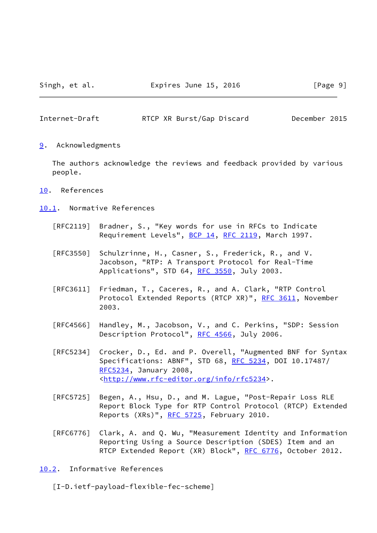<span id="page-10-1"></span><span id="page-10-0"></span>[9](#page-10-0). Acknowledgments

 The authors acknowledge the reviews and feedback provided by various people.

- <span id="page-10-2"></span>[10.](#page-10-2) References
- <span id="page-10-3"></span>[10.1](#page-10-3). Normative References
	- [RFC2119] Bradner, S., "Key words for use in RFCs to Indicate Requirement Levels", [BCP 14](https://datatracker.ietf.org/doc/pdf/bcp14), [RFC 2119](https://datatracker.ietf.org/doc/pdf/rfc2119), March 1997.
	- [RFC3550] Schulzrinne, H., Casner, S., Frederick, R., and V. Jacobson, "RTP: A Transport Protocol for Real-Time Applications", STD 64, [RFC 3550](https://datatracker.ietf.org/doc/pdf/rfc3550), July 2003.
	- [RFC3611] Friedman, T., Caceres, R., and A. Clark, "RTP Control Protocol Extended Reports (RTCP XR)", [RFC 3611](https://datatracker.ietf.org/doc/pdf/rfc3611), November 2003.
	- [RFC4566] Handley, M., Jacobson, V., and C. Perkins, "SDP: Session Description Protocol", [RFC 4566](https://datatracker.ietf.org/doc/pdf/rfc4566), July 2006.
	- [RFC5234] Crocker, D., Ed. and P. Overell, "Augmented BNF for Syntax Specifications: ABNF", STD 68, [RFC 5234](https://datatracker.ietf.org/doc/pdf/rfc5234), DOI 10.17487/ [RFC5234](https://datatracker.ietf.org/doc/pdf/rfc5234), January 2008, <<http://www.rfc-editor.org/info/rfc5234>>.
	- [RFC5725] Begen, A., Hsu, D., and M. Lague, "Post-Repair Loss RLE Report Block Type for RTP Control Protocol (RTCP) Extended Reports (XRs)", [RFC 5725,](https://datatracker.ietf.org/doc/pdf/rfc5725) February 2010.
	- [RFC6776] Clark, A. and Q. Wu, "Measurement Identity and Information Reporting Using a Source Description (SDES) Item and an RTCP Extended Report (XR) Block", [RFC 6776](https://datatracker.ietf.org/doc/pdf/rfc6776), October 2012.
- <span id="page-10-4"></span>[10.2](#page-10-4). Informative References

<span id="page-10-5"></span>[I-D.ietf-payload-flexible-fec-scheme]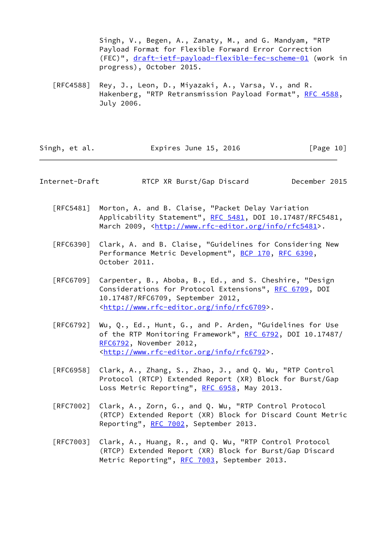Singh, V., Begen, A., Zanaty, M., and G. Mandyam, "RTP Payload Format for Flexible Forward Error Correction (FEC)", [draft-ietf-payload-flexible-fec-scheme-01](https://datatracker.ietf.org/doc/pdf/draft-ietf-payload-flexible-fec-scheme-01) (work in progress), October 2015.

 [RFC4588] Rey, J., Leon, D., Miyazaki, A., Varsa, V., and R. Hakenberg, "RTP Retransmission Payload Format", [RFC 4588,](https://datatracker.ietf.org/doc/pdf/rfc4588) July 2006.

| Singh, et al. | Expires June 15, 2016 | [Page 10] |
|---------------|-----------------------|-----------|
|---------------|-----------------------|-----------|

Internet-Draft RTCP XR Burst/Gap Discard December 2015

- [RFC5481] Morton, A. and B. Claise, "Packet Delay Variation Applicability Statement", [RFC 5481](https://datatracker.ietf.org/doc/pdf/rfc5481), DOI 10.17487/RFC5481, March 2009, [<http://www.rfc-editor.org/info/rfc5481](http://www.rfc-editor.org/info/rfc5481)>.
- [RFC6390] Clark, A. and B. Claise, "Guidelines for Considering New Performance Metric Development", [BCP 170,](https://datatracker.ietf.org/doc/pdf/bcp170) [RFC 6390](https://datatracker.ietf.org/doc/pdf/rfc6390), October 2011.
- [RFC6709] Carpenter, B., Aboba, B., Ed., and S. Cheshire, "Design Considerations for Protocol Extensions", [RFC 6709,](https://datatracker.ietf.org/doc/pdf/rfc6709) DOI 10.17487/RFC6709, September 2012, <<http://www.rfc-editor.org/info/rfc6709>>.
- [RFC6792] Wu, Q., Ed., Hunt, G., and P. Arden, "Guidelines for Use of the RTP Monitoring Framework", [RFC 6792](https://datatracker.ietf.org/doc/pdf/rfc6792), DOI 10.17487/ [RFC6792](https://datatracker.ietf.org/doc/pdf/rfc6792), November 2012, <<http://www.rfc-editor.org/info/rfc6792>>.
- [RFC6958] Clark, A., Zhang, S., Zhao, J., and Q. Wu, "RTP Control Protocol (RTCP) Extended Report (XR) Block for Burst/Gap Loss Metric Reporting", [RFC 6958,](https://datatracker.ietf.org/doc/pdf/rfc6958) May 2013.
- [RFC7002] Clark, A., Zorn, G., and Q. Wu, "RTP Control Protocol (RTCP) Extended Report (XR) Block for Discard Count Metric Reporting", [RFC 7002,](https://datatracker.ietf.org/doc/pdf/rfc7002) September 2013.
- [RFC7003] Clark, A., Huang, R., and Q. Wu, "RTP Control Protocol (RTCP) Extended Report (XR) Block for Burst/Gap Discard Metric Reporting", [RFC 7003](https://datatracker.ietf.org/doc/pdf/rfc7003), September 2013.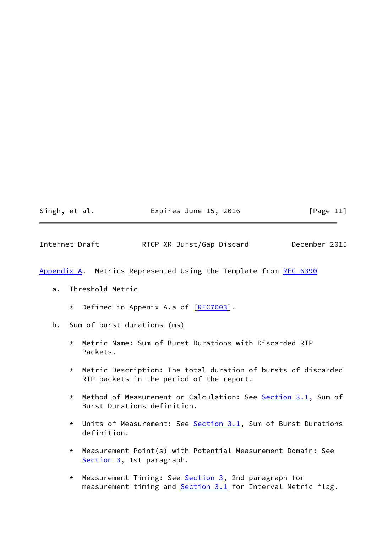|  | Singh, |  |  | et al. |  |
|--|--------|--|--|--------|--|
|--|--------|--|--|--------|--|

Expires June 15, 2016  $[Page 11]$ 

Internet-Draft RTCP XR Burst/Gap Discard December 2015

<span id="page-12-0"></span>[Appendix A.](#page-12-0) Metrics Represented Using the Template from [RFC 6390](https://datatracker.ietf.org/doc/pdf/rfc6390)

- a. Threshold Metric
	- \* Defined in Appenix A.a of [\[RFC7003](https://datatracker.ietf.org/doc/pdf/rfc7003)].
- b. Sum of burst durations (ms)
	- \* Metric Name: Sum of Burst Durations with Discarded RTP Packets.
	- \* Metric Description: The total duration of bursts of discarded RTP packets in the period of the report.
	- \* Method of Measurement or Calculation: See [Section 3.1](#page-4-2), Sum of Burst Durations definition.
	- \* Units of Measurement: See [Section 3.1](#page-4-2), Sum of Burst Durations definition.
	- \* Measurement Point(s) with Potential Measurement Domain: See [Section 3,](#page-4-0) 1st paragraph.
	- \* Measurement Timing: See **Section 3**, 2nd paragraph for measurement timing and **Section 3.1** for Interval Metric flag.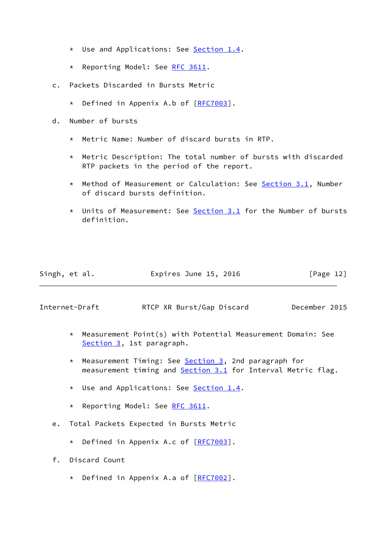- \* Use and Applications: See [Section 1.4](#page-3-1).
- \* Reporting Model: See [RFC 3611.](https://datatracker.ietf.org/doc/pdf/rfc3611)
- c. Packets Discarded in Bursts Metric
	- \* Defined in Appenix A.b of [\[RFC7003](https://datatracker.ietf.org/doc/pdf/rfc7003)].
- d. Number of bursts
	- \* Metric Name: Number of discard bursts in RTP.
	- \* Metric Description: The total number of bursts with discarded RTP packets in the period of the report.
	- \* Method of Measurement or Calculation: See [Section 3.1](#page-4-2), Number of discard bursts definition.
	- \* Units of Measurement: See [Section 3.1](#page-4-2) for the Number of bursts definition.

| Singh, et al. | Expires June 15, 2016 |  | [Page 12] |  |
|---------------|-----------------------|--|-----------|--|
|               |                       |  |           |  |

- \* Measurement Point(s) with Potential Measurement Domain: See [Section 3,](#page-4-0) 1st paragraph.
- \* Measurement Timing: See [Section 3,](#page-4-0) 2nd paragraph for measurement timing and **Section 3.1** for Interval Metric flag.
- \* Use and Applications: See [Section 1.4](#page-3-1).
- \* Reporting Model: See [RFC 3611.](https://datatracker.ietf.org/doc/pdf/rfc3611)
- e. Total Packets Expected in Bursts Metric
	- \* Defined in Appenix A.c of [\[RFC7003](https://datatracker.ietf.org/doc/pdf/rfc7003)].
- f. Discard Count
	- \* Defined in Appenix A.a of [\[RFC7002](https://datatracker.ietf.org/doc/pdf/rfc7002)].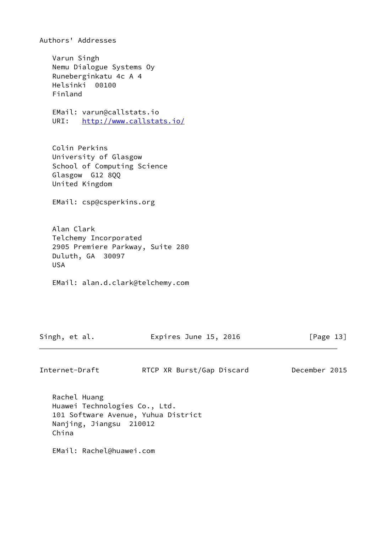Authors' Addresses

 Varun Singh Nemu Dialogue Systems Oy Runeberginkatu 4c A 4 Helsinki 00100 Finland

 EMail: varun@callstats.io URI: <http://www.callstats.io/>

 Colin Perkins University of Glasgow School of Computing Science Glasgow G12 8QQ United Kingdom

EMail: csp@csperkins.org

 Alan Clark Telchemy Incorporated 2905 Premiere Parkway, Suite 280 Duluth, GA 30097 USA

EMail: alan.d.clark@telchemy.com

Singh, et al. **Expires June 15, 2016** [Page 13]

Internet-Draft RTCP XR Burst/Gap Discard December 2015

 Rachel Huang Huawei Technologies Co., Ltd. 101 Software Avenue, Yuhua District Nanjing, Jiangsu 210012 China

EMail: Rachel@huawei.com